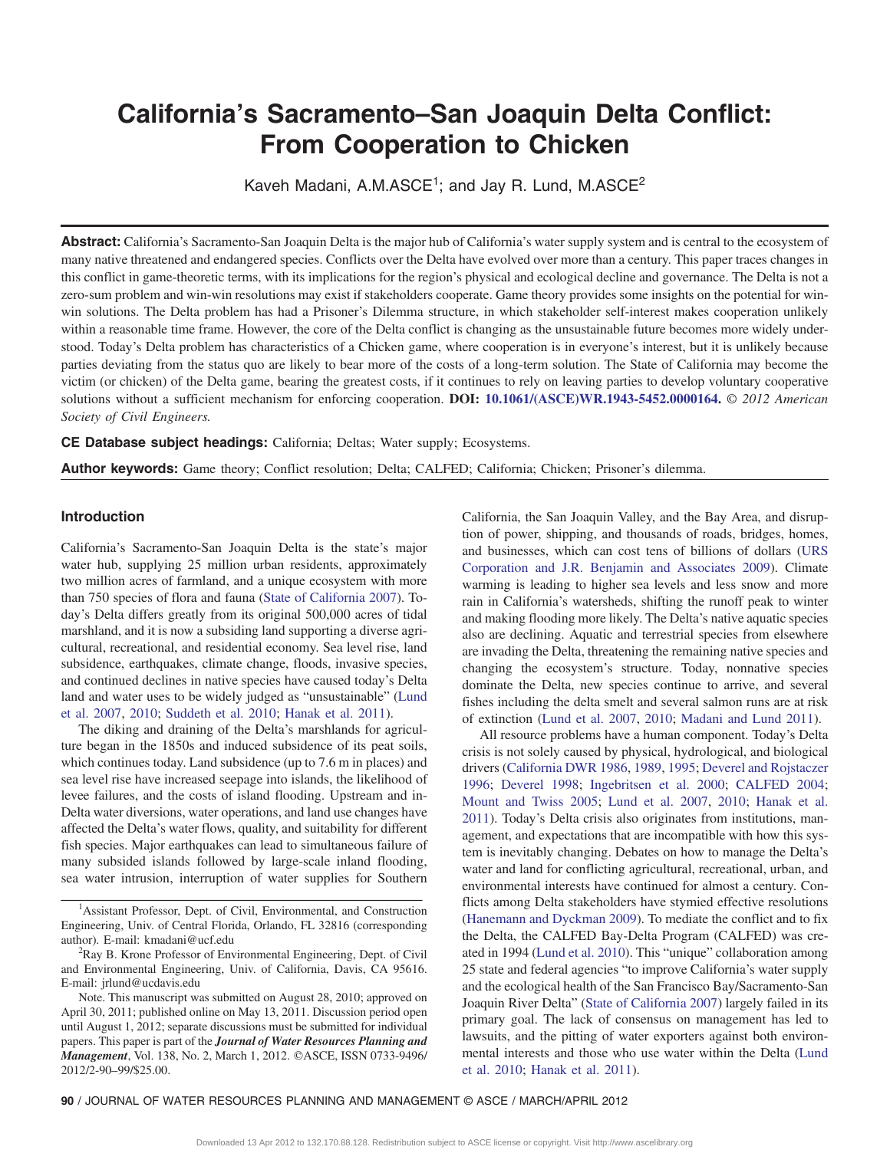# California's Sacramento–San Joaquin Delta Conflict: From Cooperation to Chicken

Kaveh Madani, A.M.ASCE<sup>1</sup>; and Jav R. Lund, M.ASCE<sup>2</sup>

Abstract: California's Sacramento-San Joaquin Delta is the major hub of California's water supply system and is central to the ecosystem of many native threatened and endangered species. Conflicts over the Delta have evolved over more than a century. This paper traces changes in this conflict in game-theoretic terms, with its implications for the region's physical and ecological decline and governance. The Delta is not a zero-sum problem and win-win resolutions may exist if stakeholders cooperate. Game theory provides some insights on the potential for winwin solutions. The Delta problem has had a Prisoner's Dilemma structure, in which stakeholder self-interest makes cooperation unlikely within a reasonable time frame. However, the core of the Delta conflict is changing as the unsustainable future becomes more widely understood. Today's Delta problem has characteristics of a Chicken game, where cooperation is in everyone's interest, but it is unlikely because parties deviating from the status quo are likely to bear more of the costs of a long-term solution. The State of California may become the victim (or chicken) of the Delta game, bearing the greatest costs, if it continues to rely on leaving parties to develop voluntary cooperative solutions without a sufficient mechanism for enforcing cooperation. DOI: [10.1061/\(ASCE\)WR.1943-5452.0000164](http://dx.doi.org/10.1061/(ASCE)WR.1943-5452.0000164). © 2012 American Society of Civil Engineers.

CE Database subject headings: California; Deltas; Water supply; Ecosystems.

Author keywords: Game theory; Conflict resolution; Delta; CALFED; California; Chicken; Prisoner's dilemma.

#### Introduction

California's Sacramento-San Joaquin Delta is the state's major water hub, supplying 25 million urban residents, approximately two million acres of farmland, and a unique ecosystem with more than 750 species of flora and fauna [\(State of California 2007](#page-8-0)). Today's Delta differs greatly from its original 500,000 acres of tidal marshland, and it is now a subsiding land supporting a diverse agricultural, recreational, and residential economy. Sea level rise, land subsidence, earthquakes, climate change, floods, invasive species, and continued declines in native species have caused today's Delta land and water uses to be widely judged as "unsustainable" ([Lund](#page-8-1) [et al. 2007,](#page-8-1) [2010](#page-8-2); [Suddeth et al. 2010](#page-8-3); [Hanak et al. 2011\)](#page-8-4).

The diking and draining of the Delta's marshlands for agriculture began in the 1850s and induced subsidence of its peat soils, which continues today. Land subsidence (up to 7.6 m in places) and sea level rise have increased seepage into islands, the likelihood of levee failures, and the costs of island flooding. Upstream and in-Delta water diversions, water operations, and land use changes have affected the Delta's water flows, quality, and suitability for different fish species. Major earthquakes can lead to simultaneous failure of many subsided islands followed by large-scale inland flooding, sea water intrusion, interruption of water supplies for Southern

<sup>1</sup>Assistant Professor, Dept. of Civil, Environmental, and Construction Engineering, Univ. of Central Florida, Orlando, FL 32816 (corresponding author). E-mail: kmadani@ucf.edu <sup>2</sup>

 ${}^{2}$ Ray B. Krone Professor of Environmental Engineering, Dept. of Civil and Environmental Engineering, Univ. of California, Davis, CA 95616. E-mail: jrlund@ucdavis.edu

Note. This manuscript was submitted on August 28, 2010; approved on April 30, 2011; published online on May 13, 2011. Discussion period open until August 1, 2012; separate discussions must be submitted for individual papers. This paper is part of the Journal of Water Resources Planning and Management, Vol. 138, No. 2, March 1, 2012. ©ASCE, ISSN 0733-9496/ 2012/2-90–99/\$25.00.

California, the San Joaquin Valley, and the Bay Area, and disruption of power, shipping, and thousands of roads, bridges, homes, and businesses, which can cost tens of billions of dollars ([URS](#page-9-0) [Corporation and J.R. Benjamin and Associates 2009](#page-9-0)). Climate warming is leading to higher sea levels and less snow and more rain in California's watersheds, shifting the runoff peak to winter and making flooding more likely. The Delta's native aquatic species also are declining. Aquatic and terrestrial species from elsewhere are invading the Delta, threatening the remaining native species and changing the ecosystem's structure. Today, nonnative species dominate the Delta, new species continue to arrive, and several fishes including the delta smelt and several salmon runs are at risk of extinction [\(Lund et al. 2007](#page-8-1), [2010;](#page-8-2) [Madani and Lund 2011](#page-8-5)).

All resource problems have a human component. Today's Delta crisis is not solely caused by physical, hydrological, and biological drivers ([California DWR 1986,](#page-8-6) [1989](#page-8-7), [1995;](#page-8-8) [Deverel and Rojstaczer](#page-8-9) [1996](#page-8-9); [Deverel 1998](#page-8-10); [Ingebritsen et al. 2000;](#page-8-11) [CALFED 2004](#page-8-12); [Mount and Twiss 2005;](#page-8-13) [Lund et al. 2007](#page-8-1), [2010](#page-8-2); [Hanak et al.](#page-8-4) [2011](#page-8-4)). Today's Delta crisis also originates from institutions, management, and expectations that are incompatible with how this system is inevitably changing. Debates on how to manage the Delta's water and land for conflicting agricultural, recreational, urban, and environmental interests have continued for almost a century. Conflicts among Delta stakeholders have stymied effective resolutions [\(Hanemann and Dyckman 2009](#page-8-14)). To mediate the conflict and to fix the Delta, the CALFED Bay-Delta Program (CALFED) was created in 1994 [\(Lund et al. 2010](#page-8-2)). This "unique" collaboration among 25 state and federal agencies "to improve California's water supply and the ecological health of the San Francisco Bay/Sacramento-San Joaquin River Delta" ([State of California 2007\)](#page-8-0) largely failed in its primary goal. The lack of consensus on management has led to lawsuits, and the pitting of water exporters against both environmental interests and those who use water within the Delta ([Lund](#page-8-1) [et al. 2010;](#page-8-1) [Hanak et al. 2011](#page-8-4)).

90 / JOURNAL OF WATER RESOURCES PLANNING AND MANAGEMENT © ASCE / MARCH/APRIL 2012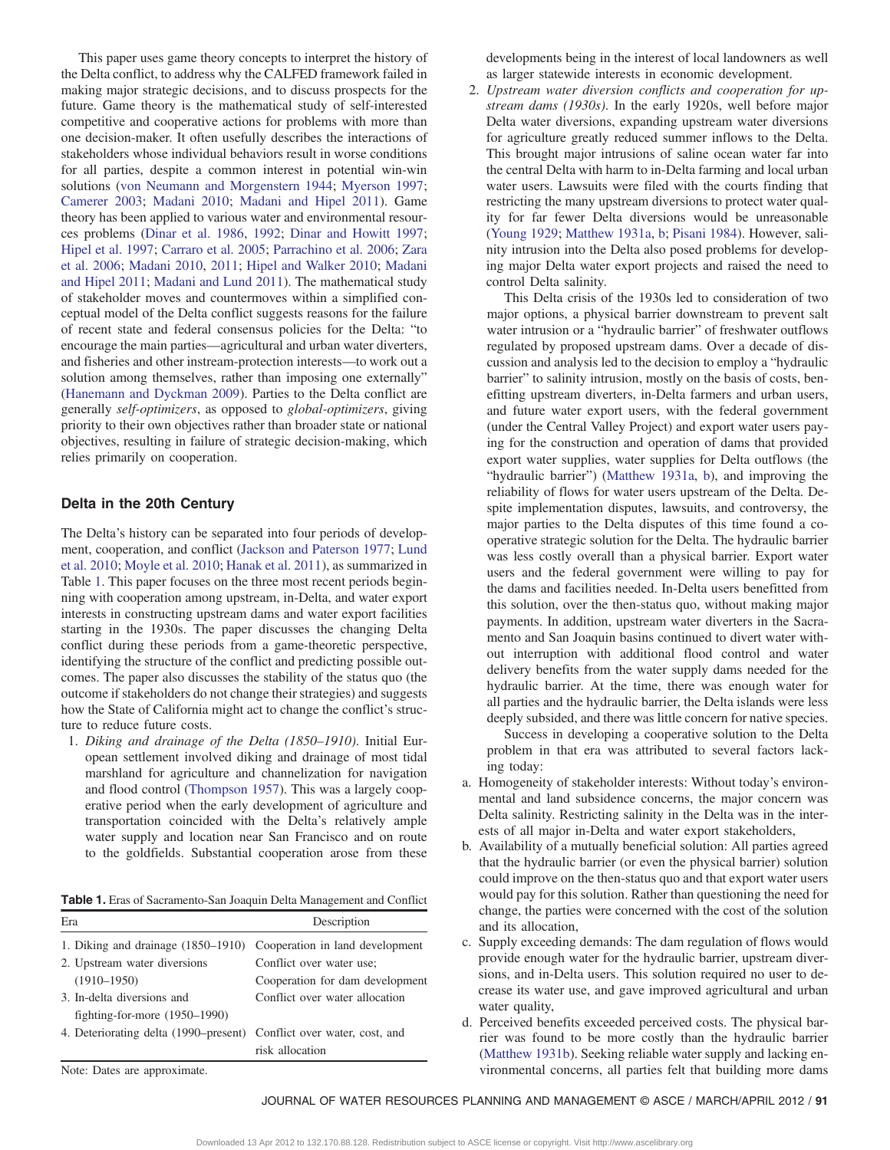This paper uses game theory concepts to interpret the history of the Delta conflict, to address why the CALFED framework failed in making major strategic decisions, and to discuss prospects for the future. Game theory is the mathematical study of self-interested competitive and cooperative actions for problems with more than one decision-maker. It often usefully describes the interactions of stakeholders whose individual behaviors result in worse conditions for all parties, despite a common interest in potential win-win solutions ([von Neumann and Morgenstern 1944;](#page-9-1) [Myerson 1997](#page-8-15); [Camerer 2003](#page-8-16); [Madani 2010;](#page-8-17) [Madani and Hipel 2011](#page-8-18)). Game theory has been applied to various water and environmental resources problems ([Dinar et al. 1986,](#page-8-19) [1992](#page-8-20); [Dinar and Howitt 1997](#page-8-21); [Hipel et al. 1997;](#page-8-22) [Carraro et al. 2005;](#page-8-23) [Parrachino et al. 2006;](#page-8-24) [Zara](#page-9-2) [et al. 2006](#page-9-2); [Madani 2010,](#page-8-17) [2011](#page-8-25); [Hipel and Walker 2010;](#page-8-26) [Madani](#page-8-18) [and Hipel 2011;](#page-8-18) [Madani and Lund 2011](#page-8-5)). The mathematical study of stakeholder moves and countermoves within a simplified conceptual model of the Delta conflict suggests reasons for the failure of recent state and federal consensus policies for the Delta: "to encourage the main parties—agricultural and urban water diverters, and fisheries and other instream-protection interests—to work out a solution among themselves, rather than imposing one externally" [\(Hanemann and Dyckman 2009](#page-8-14)). Parties to the Delta conflict are generally self-optimizers, as opposed to global-optimizers, giving priority to their own objectives rather than broader state or national objectives, resulting in failure of strategic decision-making, which relies primarily on cooperation.

# Delta in the 20th Century

The Delta's history can be separated into four periods of development, cooperation, and conflict ([Jackson and Paterson 1977;](#page-8-27) [Lund](#page-8-2) [et al. 2010;](#page-8-2) [Moyle et al. 2010](#page-8-28); [Hanak et al. 2011](#page-8-4)), as summarized in Table [1.](#page-1-0) This paper focuses on the three most recent periods beginning with cooperation among upstream, in-Delta, and water export interests in constructing upstream dams and water export facilities starting in the 1930s. The paper discusses the changing Delta conflict during these periods from a game-theoretic perspective, identifying the structure of the conflict and predicting possible outcomes. The paper also discusses the stability of the status quo (the outcome if stakeholders do not change their strategies) and suggests how the State of California might act to change the conflict's structure to reduce future costs.

1. Diking and drainage of the Delta (1850–1910). Initial European settlement involved diking and drainage of most tidal marshland for agriculture and channelization for navigation and flood control ([Thompson 1957](#page-9-3)). This was a largely cooperative period when the early development of agriculture and transportation coincided with the Delta's relatively ample water supply and location near San Francisco and on route to the goldfields. Substantial cooperation arose from these

<span id="page-1-0"></span>Table 1. Eras of Sacramento-San Joaquin Delta Management and Conflict

| Era                                                                  | Description                     |
|----------------------------------------------------------------------|---------------------------------|
| 1. Diking and drainage (1850–1910) Cooperation in land development   |                                 |
| 2. Upstream water diversions                                         | Conflict over water use;        |
| $(1910 - 1950)$                                                      | Cooperation for dam development |
| 3. In-delta diversions and                                           | Conflict over water allocation  |
| fighting-for-more $(1950-1990)$                                      |                                 |
| 4. Deteriorating delta (1990–present) Conflict over water, cost, and |                                 |
|                                                                      | risk allocation                 |
| - - -                                                                |                                 |

Note: Dates are approximate.

developments being in the interest of local landowners as well as larger statewide interests in economic development.

2. Upstream water diversion conflicts and cooperation for upstream dams (1930s). In the early 1920s, well before major Delta water diversions, expanding upstream water diversions for agriculture greatly reduced summer inflows to the Delta. This brought major intrusions of saline ocean water far into the central Delta with harm to in-Delta farming and local urban water users. Lawsuits were filed with the courts finding that restricting the many upstream diversions to protect water quality for far fewer Delta diversions would be unreasonable ([Young 1929](#page-9-4); [Matthew 1931a](#page-8-29), [b;](#page-8-30) [Pisani 1984](#page-8-31)). However, salinity intrusion into the Delta also posed problems for developing major Delta water export projects and raised the need to control Delta salinity.

This Delta crisis of the 1930s led to consideration of two major options, a physical barrier downstream to prevent salt water intrusion or a "hydraulic barrier" of freshwater outflows regulated by proposed upstream dams. Over a decade of discussion and analysis led to the decision to employ a "hydraulic barrier" to salinity intrusion, mostly on the basis of costs, benefitting upstream diverters, in-Delta farmers and urban users, and future water export users, with the federal government (under the Central Valley Project) and export water users paying for the construction and operation of dams that provided export water supplies, water supplies for Delta outflows (the "hydraulic barrier") ([Matthew 1931a,](#page-8-29) [b\)](#page-8-30), and improving the reliability of flows for water users upstream of the Delta. Despite implementation disputes, lawsuits, and controversy, the major parties to the Delta disputes of this time found a cooperative strategic solution for the Delta. The hydraulic barrier was less costly overall than a physical barrier. Export water users and the federal government were willing to pay for the dams and facilities needed. In-Delta users benefitted from this solution, over the then-status quo, without making major payments. In addition, upstream water diverters in the Sacramento and San Joaquin basins continued to divert water without interruption with additional flood control and water delivery benefits from the water supply dams needed for the hydraulic barrier. At the time, there was enough water for all parties and the hydraulic barrier, the Delta islands were less deeply subsided, and there was little concern for native species.

Success in developing a cooperative solution to the Delta problem in that era was attributed to several factors lacking today:

- a. Homogeneity of stakeholder interests: Without today's environmental and land subsidence concerns, the major concern was Delta salinity. Restricting salinity in the Delta was in the interests of all major in-Delta and water export stakeholders,
- b. Availability of a mutually beneficial solution: All parties agreed that the hydraulic barrier (or even the physical barrier) solution could improve on the then-status quo and that export water users would pay for this solution. Rather than questioning the need for change, the parties were concerned with the cost of the solution and its allocation,
- c. Supply exceeding demands: The dam regulation of flows would provide enough water for the hydraulic barrier, upstream diversions, and in-Delta users. This solution required no user to decrease its water use, and gave improved agricultural and urban water quality,
- d. Perceived benefits exceeded perceived costs. The physical barrier was found to be more costly than the hydraulic barrier [\(Matthew 1931b](#page-8-30)). Seeking reliable water supply and lacking environmental concerns, all parties felt that building more dams

JOURNAL OF WATER RESOURCES PLANNING AND MANAGEMENT © ASCE / MARCH/APRIL 2012 / 91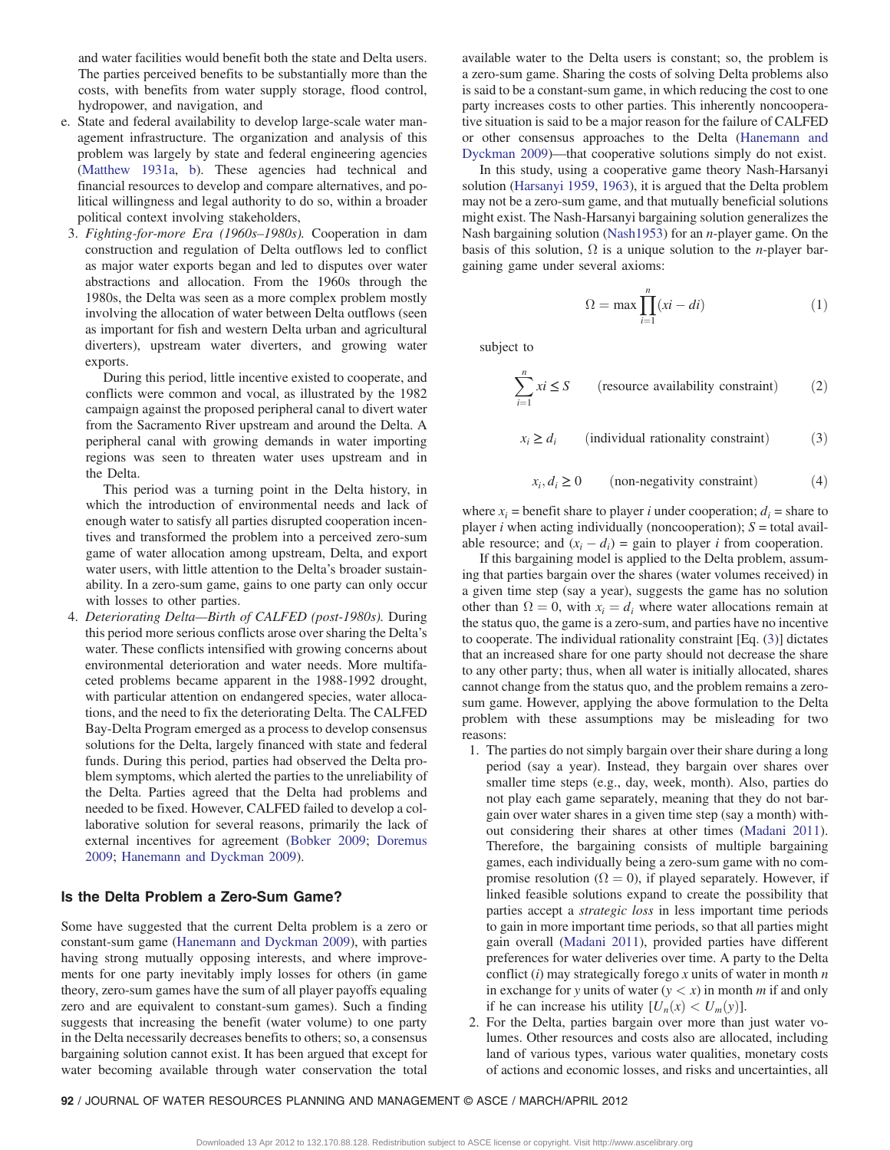and water facilities would benefit both the state and Delta users. The parties perceived benefits to be substantially more than the costs, with benefits from water supply storage, flood control, hydropower, and navigation, and

- e. State and federal availability to develop large-scale water management infrastructure. The organization and analysis of this problem was largely by state and federal engineering agencies [\(Matthew 1931a](#page-8-29), [b\)](#page-8-30). These agencies had technical and financial resources to develop and compare alternatives, and political willingness and legal authority to do so, within a broader political context involving stakeholders,
- 3. Fighting-for-more Era (1960s–1980s). Cooperation in dam construction and regulation of Delta outflows led to conflict as major water exports began and led to disputes over water abstractions and allocation. From the 1960s through the 1980s, the Delta was seen as a more complex problem mostly involving the allocation of water between Delta outflows (seen as important for fish and western Delta urban and agricultural diverters), upstream water diverters, and growing water exports.

During this period, little incentive existed to cooperate, and conflicts were common and vocal, as illustrated by the 1982 campaign against the proposed peripheral canal to divert water from the Sacramento River upstream and around the Delta. A peripheral canal with growing demands in water importing regions was seen to threaten water uses upstream and in the Delta.

This period was a turning point in the Delta history, in which the introduction of environmental needs and lack of enough water to satisfy all parties disrupted cooperation incentives and transformed the problem into a perceived zero-sum game of water allocation among upstream, Delta, and export water users, with little attention to the Delta's broader sustainability. In a zero-sum game, gains to one party can only occur with losses to other parties.

4. Deteriorating Delta—Birth of CALFED (post-1980s). During this period more serious conflicts arose over sharing the Delta's water. These conflicts intensified with growing concerns about environmental deterioration and water needs. More multifaceted problems became apparent in the 1988-1992 drought, with particular attention on endangered species, water allocations, and the need to fix the deteriorating Delta. The CALFED Bay-Delta Program emerged as a process to develop consensus solutions for the Delta, largely financed with state and federal funds. During this period, parties had observed the Delta problem symptoms, which alerted the parties to the unreliability of the Delta. Parties agreed that the Delta had problems and needed to be fixed. However, CALFED failed to develop a collaborative solution for several reasons, primarily the lack of external incentives for agreement ([Bobker 2009;](#page-8-32) [Doremus](#page-8-33) [2009;](#page-8-33) [Hanemann and Dyckman 2009\)](#page-8-14).

## Is the Delta Problem a Zero-Sum Game?

Some have suggested that the current Delta problem is a zero or constant-sum game ([Hanemann and Dyckman 2009\)](#page-8-14), with parties having strong mutually opposing interests, and where improvements for one party inevitably imply losses for others (in game theory, zero-sum games have the sum of all player payoffs equaling zero and are equivalent to constant-sum games). Such a finding suggests that increasing the benefit (water volume) to one party in the Delta necessarily decreases benefits to others; so, a consensus bargaining solution cannot exist. It has been argued that except for water becoming available through water conservation the total

available water to the Delta users is constant; so, the problem is a zero-sum game. Sharing the costs of solving Delta problems also is said to be a constant-sum game, in which reducing the cost to one party increases costs to other parties. This inherently noncooperative situation is said to be a major reason for the failure of CALFED or other consensus approaches to the Delta [\(Hanemann and](#page-8-14) [Dyckman 2009](#page-8-14))—that cooperative solutions simply do not exist.

In this study, using a cooperative game theory Nash-Harsanyi solution ([Harsanyi 1959](#page-8-34), [1963](#page-8-35)), it is argued that the Delta problem may not be a zero-sum game, and that mutually beneficial solutions might exist. The Nash-Harsanyi bargaining solution generalizes the Nash bargaining solution ([Nash1953](#page-8-36)) for an *n*-player game. On the basis of this solution,  $\Omega$  is a unique solution to the *n*-player bargaining game under several axioms:

$$
\Omega = \max \prod_{i=1}^{n} (xi - di) \tag{1}
$$

<span id="page-2-0"></span>subject to

$$
\sum_{i=1}^{n} xi \le S \qquad \text{(resource availability constraint)} \tag{2}
$$

$$
x_i \ge d_i
$$
 (individual rationality constraint) (3)

 $x_i, d_i \ge 0$  (non-negativity constraint) (4)

where  $x_i$  = benefit share to player *i* under cooperation;  $d_i$  = share to player *i* when acting individually (noncooperation);  $S =$  total available resource; and  $(x_i - d_i)$  = gain to player *i* from cooperation.

If this bargaining model is applied to the Delta problem, assuming that parties bargain over the shares (water volumes received) in a given time step (say a year), suggests the game has no solution other than  $\Omega = 0$ , with  $x_i = d_i$  where water allocations remain at the status quo, the game is a zero-sum, and parties have no incentive to cooperate. The individual rationality constraint [Eq. [\(3\)](#page-2-0)] dictates that an increased share for one party should not decrease the share to any other party; thus, when all water is initially allocated, shares cannot change from the status quo, and the problem remains a zerosum game. However, applying the above formulation to the Delta problem with these assumptions may be misleading for two reasons:

- 1. The parties do not simply bargain over their share during a long period (say a year). Instead, they bargain over shares over smaller time steps (e.g., day, week, month). Also, parties do not play each game separately, meaning that they do not bargain over water shares in a given time step (say a month) without considering their shares at other times [\(Madani 2011\)](#page-8-25). Therefore, the bargaining consists of multiple bargaining games, each individually being a zero-sum game with no compromise resolution ( $\Omega = 0$ ), if played separately. However, if linked feasible solutions expand to create the possibility that parties accept a strategic loss in less important time periods to gain in more important time periods, so that all parties might gain overall [\(Madani 2011](#page-8-25)), provided parties have different preferences for water deliveries over time. A party to the Delta conflict  $(i)$  may strategically forego x units of water in month  $n$ in exchange for y units of water  $(y < x)$  in month m if and only if he can increase his utility  $[U_n(x) < U_m(y)]$ .
- 2. For the Delta, parties bargain over more than just water volumes. Other resources and costs also are allocated, including land of various types, various water qualities, monetary costs of actions and economic losses, and risks and uncertainties, all

92 / JOURNAL OF WATER RESOURCES PLANNING AND MANAGEMENT © ASCE / MARCH/APRIL 2012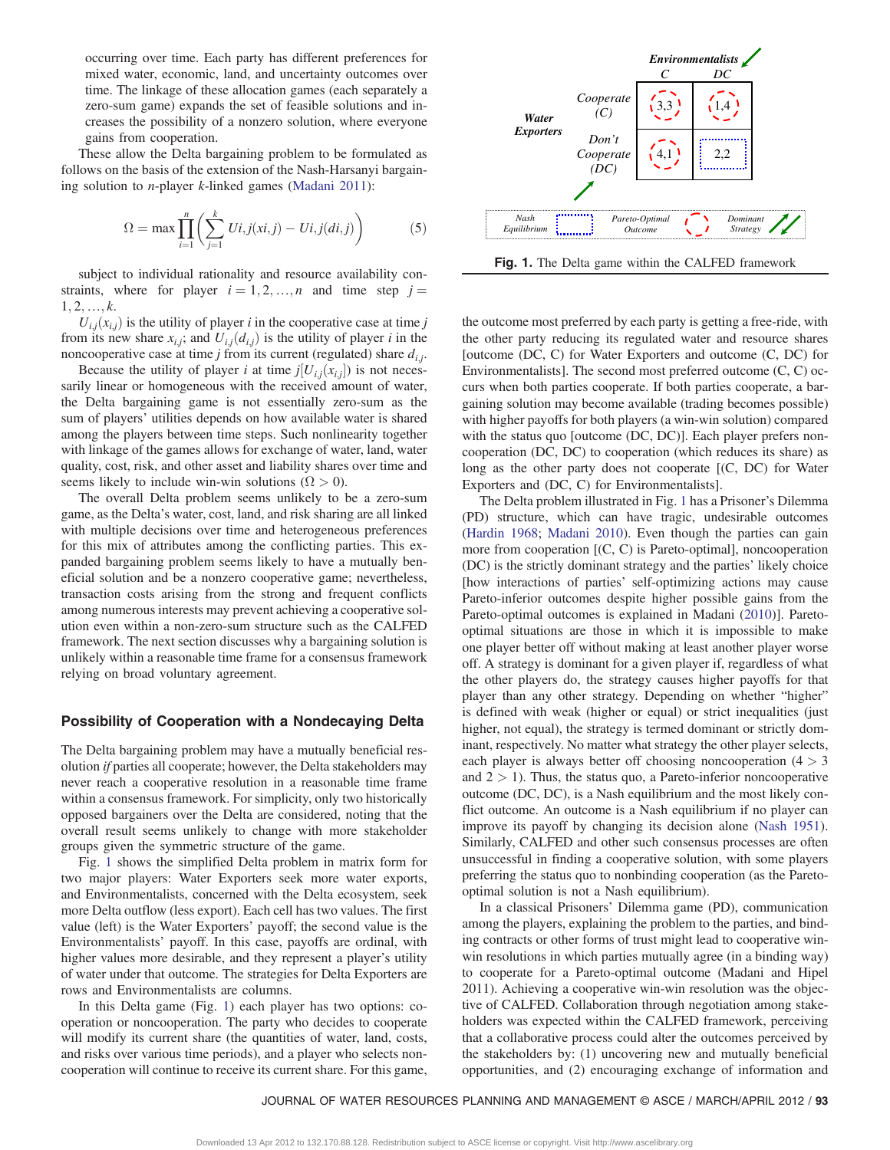occurring over time. Each party has different preferences for mixed water, economic, land, and uncertainty outcomes over time. The linkage of these allocation games (each separately a zero-sum game) expands the set of feasible solutions and increases the possibility of a nonzero solution, where everyone gains from cooperation.

These allow the Delta bargaining problem to be formulated as follows on the basis of the extension of the Nash-Harsanyi bargaining solution to *n*-player *k*-linked games [\(Madani 2011\)](#page-8-25):

$$
\Omega = \max \prod_{i=1}^{n} \left( \sum_{j=1}^{k} Ui, j(xi, j) - Ui, j(di, j) \right) \tag{5}
$$

subject to individual rationality and resource availability constraints, where for player  $i = 1, 2, ..., n$  and time step  $j =$  $1, 2, \ldots, k.$ 

 $U_{i,j}(x_{i,j})$  is the utility of player i in the cooperative case at time j from its new share  $x_{i,j}$ ; and  $U_{i,j}(d_{i,j})$  is the utility of player i in the noncooperative case at time j from its current (regulated) share  $d_{ij}$ .

Because the utility of player *i* at time  $j[U_{ij}(x_{i,j}])$  is not necessarily linear or homogeneous with the received amount of water, the Delta bargaining game is not essentially zero-sum as the sum of players' utilities depends on how available water is shared among the players between time steps. Such nonlinearity together with linkage of the games allows for exchange of water, land, water quality, cost, risk, and other asset and liability shares over time and seems likely to include win-win solutions  $(Ω > 0)$ .

The overall Delta problem seems unlikely to be a zero-sum game, as the Delta's water, cost, land, and risk sharing are all linked with multiple decisions over time and heterogeneous preferences for this mix of attributes among the conflicting parties. This expanded bargaining problem seems likely to have a mutually beneficial solution and be a nonzero cooperative game; nevertheless, transaction costs arising from the strong and frequent conflicts among numerous interests may prevent achieving a cooperative solution even within a non-zero-sum structure such as the CALFED framework. The next section discusses why a bargaining solution is unlikely within a reasonable time frame for a consensus framework relying on broad voluntary agreement.

#### Possibility of Cooperation with a Nondecaying Delta

The Delta bargaining problem may have a mutually beneficial resolution if parties all cooperate; however, the Delta stakeholders may never reach a cooperative resolution in a reasonable time frame within a consensus framework. For simplicity, only two historically opposed bargainers over the Delta are considered, noting that the overall result seems unlikely to change with more stakeholder groups given the symmetric structure of the game.

Fig. [1](#page-3-0) shows the simplified Delta problem in matrix form for two major players: Water Exporters seek more water exports, and Environmentalists, concerned with the Delta ecosystem, seek more Delta outflow (less export). Each cell has two values. The first value (left) is the Water Exporters' payoff; the second value is the Environmentalists' payoff. In this case, payoffs are ordinal, with higher values more desirable, and they represent a player's utility of water under that outcome. The strategies for Delta Exporters are rows and Environmentalists are columns.

In this Delta game (Fig. [1](#page-3-0)) each player has two options: cooperation or noncooperation. The party who decides to cooperate will modify its current share (the quantities of water, land, costs, and risks over various time periods), and a player who selects noncooperation will continue to receive its current share. For this game,

<span id="page-3-0"></span>

Fig. 1. The Delta game within the CALFED framework

the outcome most preferred by each party is getting a free-ride, with the other party reducing its regulated water and resource shares [outcome (DC, C) for Water Exporters and outcome (C, DC) for Environmentalists]. The second most preferred outcome (C, C) occurs when both parties cooperate. If both parties cooperate, a bargaining solution may become available (trading becomes possible) with higher payoffs for both players (a win-win solution) compared with the status quo [outcome (DC, DC)]. Each player prefers noncooperation (DC, DC) to cooperation (which reduces its share) as long as the other party does not cooperate [(C, DC) for Water Exporters and (DC, C) for Environmentalists].

The Delta problem illustrated in Fig. [1](#page-3-0) has a Prisoner's Dilemma (PD) structure, which can have tragic, undesirable outcomes [\(Hardin 1968](#page-8-37); [Madani 2010\)](#page-8-17). Even though the parties can gain more from cooperation [(C, C) is Pareto-optimal], noncooperation (DC) is the strictly dominant strategy and the parties' likely choice [how interactions of parties' self-optimizing actions may cause Pareto-inferior outcomes despite higher possible gains from the Pareto-optimal outcomes is explained in Madani [\(2010](#page-8-17))]. Paretooptimal situations are those in which it is impossible to make one player better off without making at least another player worse off. A strategy is dominant for a given player if, regardless of what the other players do, the strategy causes higher payoffs for that player than any other strategy. Depending on whether "higher" is defined with weak (higher or equal) or strict inequalities (just higher, not equal), the strategy is termed dominant or strictly dominant, respectively. No matter what strategy the other player selects, each player is always better off choosing noncooperation  $(4 > 3$ and  $2 > 1$ ). Thus, the status quo, a Pareto-inferior noncooperative outcome (DC, DC), is a Nash equilibrium and the most likely conflict outcome. An outcome is a Nash equilibrium if no player can improve its payoff by changing its decision alone [\(Nash 1951\)](#page-8-38). Similarly, CALFED and other such consensus processes are often unsuccessful in finding a cooperative solution, with some players preferring the status quo to nonbinding cooperation (as the Paretooptimal solution is not a Nash equilibrium).

In a classical Prisoners' Dilemma game (PD), communication among the players, explaining the problem to the parties, and binding contracts or other forms of trust might lead to cooperative winwin resolutions in which parties mutually agree (in a binding way) to cooperate for a Pareto-optimal outcome (Madani and Hipel 2011). Achieving a cooperative win-win resolution was the objective of CALFED. Collaboration through negotiation among stakeholders was expected within the CALFED framework, perceiving that a collaborative process could alter the outcomes perceived by the stakeholders by: (1) uncovering new and mutually beneficial opportunities, and (2) encouraging exchange of information and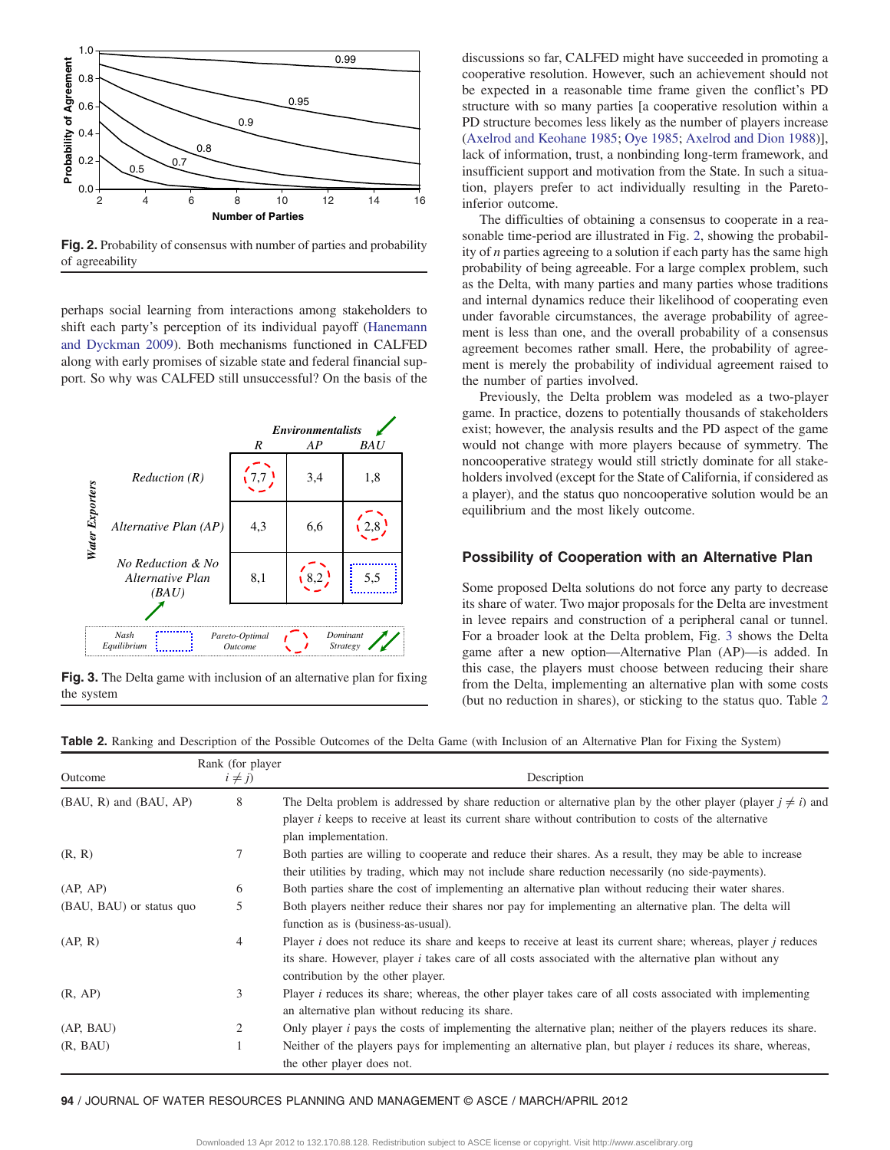<span id="page-4-0"></span>

Fig. 2. Probability of consensus with number of parties and probability of agreeability

perhaps social learning from interactions among stakeholders to shift each party's perception of its individual payoff [\(Hanemann](#page-8-14) [and Dyckman 2009](#page-8-14)). Both mechanisms functioned in CALFED along with early promises of sizable state and federal financial support. So why was CALFED still unsuccessful? On the basis of the

<span id="page-4-1"></span>



discussions so far, CALFED might have succeeded in promoting a cooperative resolution. However, such an achievement should not be expected in a reasonable time frame given the conflict's PD structure with so many parties [a cooperative resolution within a PD structure becomes less likely as the number of players increase [\(Axelrod and Keohane 1985](#page-8-39); [Oye 1985](#page-8-40); [Axelrod and Dion 1988](#page-8-41))], lack of information, trust, a nonbinding long-term framework, and insufficient support and motivation from the State. In such a situation, players prefer to act individually resulting in the Paretoinferior outcome.

The difficulties of obtaining a consensus to cooperate in a reasonable time-period are illustrated in Fig. [2](#page-4-0), showing the probability of n parties agreeing to a solution if each party has the same high probability of being agreeable. For a large complex problem, such as the Delta, with many parties and many parties whose traditions and internal dynamics reduce their likelihood of cooperating even under favorable circumstances, the average probability of agreement is less than one, and the overall probability of a consensus agreement becomes rather small. Here, the probability of agreement is merely the probability of individual agreement raised to the number of parties involved.

Previously, the Delta problem was modeled as a two-player game. In practice, dozens to potentially thousands of stakeholders exist; however, the analysis results and the PD aspect of the game would not change with more players because of symmetry. The noncooperative strategy would still strictly dominate for all stakeholders involved (except for the State of California, if considered as a player), and the status quo noncooperative solution would be an equilibrium and the most likely outcome.

## Possibility of Cooperation with an Alternative Plan

Some proposed Delta solutions do not force any party to decrease its share of water. Two major proposals for the Delta are investment in levee repairs and construction of a peripheral canal or tunnel. For a broader look at the Delta problem, Fig. [3](#page-4-1) shows the Delta game after a new option—Alternative Plan (AP)—is added. In this case, the players must choose between reducing their share from the Delta, implementing an alternative plan with some costs (but no reduction in shares), or sticking to the status quo. Table [2](#page-4-2)

<span id="page-4-2"></span>Table 2. Ranking and Description of the Possible Outcomes of the Delta Game (with Inclusion of an Alternative Plan for Fixing the System)

| Rank (for player)        |            |                                                                                                                                                                                                                                                                                  |
|--------------------------|------------|----------------------------------------------------------------------------------------------------------------------------------------------------------------------------------------------------------------------------------------------------------------------------------|
| Outcome                  | $i \neq j$ | Description                                                                                                                                                                                                                                                                      |
| (BAU, R) and (BAU, AP)   | 8          | The Delta problem is addressed by share reduction or alternative plan by the other player (player $j \neq i$ ) and<br>player <i>i</i> keeps to receive at least its current share without contribution to costs of the alternative<br>plan implementation.                       |
| (R, R)                   | 7          | Both parties are willing to cooperate and reduce their shares. As a result, they may be able to increase<br>their utilities by trading, which may not include share reduction necessarily (no side-payments).                                                                    |
| (AP, AP)                 | 6          | Both parties share the cost of implementing an alternative plan without reducing their water shares.                                                                                                                                                                             |
| (BAU, BAU) or status quo | 5          | Both players neither reduce their shares nor pay for implementing an alternative plan. The delta will<br>function as is (business-as-usual).                                                                                                                                     |
| (AP, R)                  | 4          | Player <i>i</i> does not reduce its share and keeps to receive at least its current share; whereas, player <i>j</i> reduces<br>its share. However, player <i>i</i> takes care of all costs associated with the alternative plan without any<br>contribution by the other player. |
| (R, AP)                  | 3          | Player <i>i</i> reduces its share; whereas, the other player takes care of all costs associated with implementing<br>an alternative plan without reducing its share.                                                                                                             |
| (AP, BAU)                | 2          | Only player <i>i</i> pays the costs of implementing the alternative plan; neither of the players reduces its share.                                                                                                                                                              |
| (R, BAU)                 |            | Neither of the players pays for implementing an alternative plan, but player <i>i</i> reduces its share, whereas,<br>the other player does not.                                                                                                                                  |

#### 94 / JOURNAL OF WATER RESOURCES PLANNING AND MANAGEMENT © ASCE / MARCH/APRIL 2012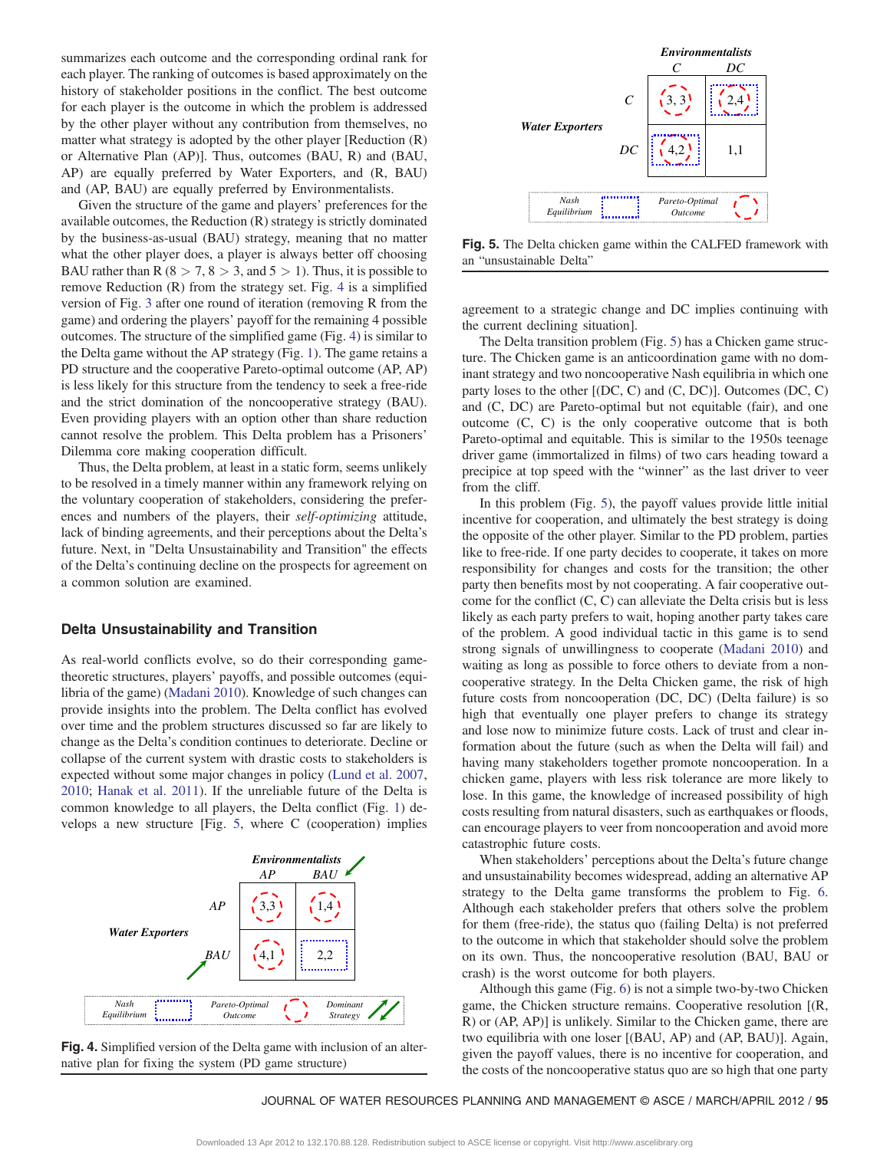summarizes each outcome and the corresponding ordinal rank for each player. The ranking of outcomes is based approximately on the history of stakeholder positions in the conflict. The best outcome for each player is the outcome in which the problem is addressed by the other player without any contribution from themselves, no matter what strategy is adopted by the other player [Reduction (R) or Alternative Plan (AP)]. Thus, outcomes (BAU, R) and (BAU, AP) are equally preferred by Water Exporters, and (R, BAU) and (AP, BAU) are equally preferred by Environmentalists.

Given the structure of the game and players' preferences for the available outcomes, the Reduction (R) strategy is strictly dominated by the business-as-usual (BAU) strategy, meaning that no matter what the other player does, a player is always better off choosing BAU rather than R ( $8 > 7$ ,  $8 > 3$ , and  $5 > 1$ ). Thus, it is possible to remove Reduction (R) from the strategy set. Fig. [4](#page-5-0) is a simplified version of Fig. [3](#page-4-1) after one round of iteration (removing R from the game) and ordering the players' payoff for the remaining 4 possible outcomes. The structure of the simplified game (Fig. [4](#page-5-0)) is similar to the Delta game without the AP strategy (Fig. [1\)](#page-3-0). The game retains a PD structure and the cooperative Pareto-optimal outcome (AP, AP) is less likely for this structure from the tendency to seek a free-ride and the strict domination of the noncooperative strategy (BAU). Even providing players with an option other than share reduction cannot resolve the problem. This Delta problem has a Prisoners' Dilemma core making cooperation difficult.

Thus, the Delta problem, at least in a static form, seems unlikely to be resolved in a timely manner within any framework relying on the voluntary cooperation of stakeholders, considering the preferences and numbers of the players, their self-optimizing attitude, lack of binding agreements, and their perceptions about the Delta's future. Next, in "Delta Unsustainability and Transition" the effects of the Delta's continuing decline on the prospects for agreement on a common solution are examined.

## Delta Unsustainability and Transition

As real-world conflicts evolve, so do their corresponding gametheoretic structures, players' payoffs, and possible outcomes (equilibria of the game) ([Madani 2010\)](#page-8-17). Knowledge of such changes can provide insights into the problem. The Delta conflict has evolved over time and the problem structures discussed so far are likely to change as the Delta's condition continues to deteriorate. Decline or collapse of the current system with drastic costs to stakeholders is expected without some major changes in policy ([Lund et al. 2007,](#page-8-1) [2010](#page-8-2); [Hanak et al. 2011](#page-8-4)). If the unreliable future of the Delta is common knowledge to all players, the Delta conflict (Fig. [1\)](#page-3-0) develops a new structure [Fig. [5](#page-5-1), where C (cooperation) implies

<span id="page-5-0"></span>

Fig. 4. Simplified version of the Delta game with inclusion of an alternative plan for fixing the system (PD game structure)

<span id="page-5-1"></span>

Fig. 5. The Delta chicken game within the CALFED framework with an "unsustainable Delta"

agreement to a strategic change and DC implies continuing with the current declining situation].

The Delta transition problem (Fig. [5\)](#page-5-1) has a Chicken game structure. The Chicken game is an anticoordination game with no dominant strategy and two noncooperative Nash equilibria in which one party loses to the other [(DC, C) and (C, DC)]. Outcomes (DC, C) and (C, DC) are Pareto-optimal but not equitable (fair), and one outcome (C, C) is the only cooperative outcome that is both Pareto-optimal and equitable. This is similar to the 1950s teenage driver game (immortalized in films) of two cars heading toward a precipice at top speed with the "winner" as the last driver to veer from the cliff.

In this problem (Fig. [5](#page-5-1)), the payoff values provide little initial incentive for cooperation, and ultimately the best strategy is doing the opposite of the other player. Similar to the PD problem, parties like to free-ride. If one party decides to cooperate, it takes on more responsibility for changes and costs for the transition; the other party then benefits most by not cooperating. A fair cooperative outcome for the conflict (C, C) can alleviate the Delta crisis but is less likely as each party prefers to wait, hoping another party takes care of the problem. A good individual tactic in this game is to send strong signals of unwillingness to cooperate ([Madani 2010](#page-8-17)) and waiting as long as possible to force others to deviate from a noncooperative strategy. In the Delta Chicken game, the risk of high future costs from noncooperation (DC, DC) (Delta failure) is so high that eventually one player prefers to change its strategy and lose now to minimize future costs. Lack of trust and clear information about the future (such as when the Delta will fail) and having many stakeholders together promote noncooperation. In a chicken game, players with less risk tolerance are more likely to lose. In this game, the knowledge of increased possibility of high costs resulting from natural disasters, such as earthquakes or floods, can encourage players to veer from noncooperation and avoid more catastrophic future costs.

When stakeholders' perceptions about the Delta's future change and unsustainability becomes widespread, adding an alternative AP strategy to the Delta game transforms the problem to Fig. [6.](#page-6-0) Although each stakeholder prefers that others solve the problem for them (free-ride), the status quo (failing Delta) is not preferred to the outcome in which that stakeholder should solve the problem on its own. Thus, the noncooperative resolution (BAU, BAU or crash) is the worst outcome for both players.

Although this game (Fig. [6](#page-6-0)) is not a simple two-by-two Chicken game, the Chicken structure remains. Cooperative resolution [(R, R) or (AP, AP)] is unlikely. Similar to the Chicken game, there are two equilibria with one loser [(BAU, AP) and (AP, BAU)]. Again, given the payoff values, there is no incentive for cooperation, and the costs of the noncooperative status quo are so high that one party

JOURNAL OF WATER RESOURCES PLANNING AND MANAGEMENT © ASCE / MARCH/APRIL 2012 / 95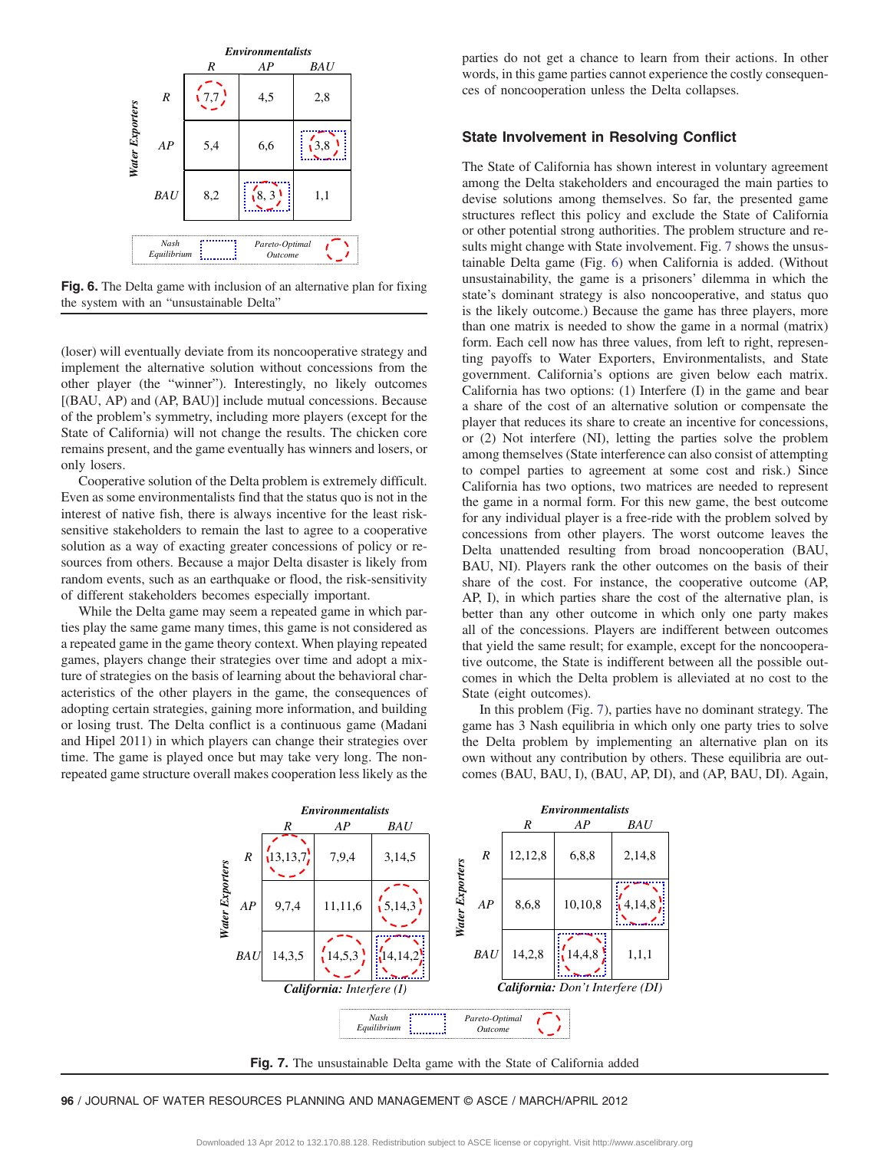<span id="page-6-0"></span>

Fig. 6. The Delta game with inclusion of an alternative plan for fixing the system with an "unsustainable Delta"

(loser) will eventually deviate from its noncooperative strategy and implement the alternative solution without concessions from the other player (the "winner"). Interestingly, no likely outcomes [(BAU, AP) and (AP, BAU)] include mutual concessions. Because of the problem's symmetry, including more players (except for the State of California) will not change the results. The chicken core remains present, and the game eventually has winners and losers, or only losers.

Cooperative solution of the Delta problem is extremely difficult. Even as some environmentalists find that the status quo is not in the interest of native fish, there is always incentive for the least risksensitive stakeholders to remain the last to agree to a cooperative solution as a way of exacting greater concessions of policy or resources from others. Because a major Delta disaster is likely from random events, such as an earthquake or flood, the risk-sensitivity of different stakeholders becomes especially important.

While the Delta game may seem a repeated game in which parties play the same game many times, this game is not considered as a repeated game in the game theory context. When playing repeated games, players change their strategies over time and adopt a mixture of strategies on the basis of learning about the behavioral characteristics of the other players in the game, the consequences of adopting certain strategies, gaining more information, and building or losing trust. The Delta conflict is a continuous game (Madani and Hipel 2011) in which players can change their strategies over time. The game is played once but may take very long. The nonrepeated game structure overall makes cooperation less likely as the parties do not get a chance to learn from their actions. In other words, in this game parties cannot experience the costly consequences of noncooperation unless the Delta collapses.

#### State Involvement in Resolving Conflict

The State of California has shown interest in voluntary agreement among the Delta stakeholders and encouraged the main parties to devise solutions among themselves. So far, the presented game structures reflect this policy and exclude the State of California or other potential strong authorities. The problem structure and results might change with State involvement. Fig. [7](#page-6-1) shows the unsustainable Delta game (Fig. [6\)](#page-6-0) when California is added. (Without unsustainability, the game is a prisoners' dilemma in which the state's dominant strategy is also noncooperative, and status quo is the likely outcome.) Because the game has three players, more than one matrix is needed to show the game in a normal (matrix) form. Each cell now has three values, from left to right, representing payoffs to Water Exporters, Environmentalists, and State government. California's options are given below each matrix. California has two options: (1) Interfere (I) in the game and bear a share of the cost of an alternative solution or compensate the player that reduces its share to create an incentive for concessions, or (2) Not interfere (NI), letting the parties solve the problem among themselves (State interference can also consist of attempting to compel parties to agreement at some cost and risk.) Since California has two options, two matrices are needed to represent the game in a normal form. For this new game, the best outcome for any individual player is a free-ride with the problem solved by concessions from other players. The worst outcome leaves the Delta unattended resulting from broad noncooperation (BAU, BAU, NI). Players rank the other outcomes on the basis of their share of the cost. For instance, the cooperative outcome (AP, AP, I), in which parties share the cost of the alternative plan, is better than any other outcome in which only one party makes all of the concessions. Players are indifferent between outcomes that yield the same result; for example, except for the noncooperative outcome, the State is indifferent between all the possible outcomes in which the Delta problem is alleviated at no cost to the State (eight outcomes).

In this problem (Fig. [7\)](#page-6-1), parties have no dominant strategy. The game has 3 Nash equilibria in which only one party tries to solve the Delta problem by implementing an alternative plan on its own without any contribution by others. These equilibria are outcomes (BAU, BAU, I), (BAU, AP, DI), and (AP, BAU, DI). Again,

<span id="page-6-1"></span>

96 / JOURNAL OF WATER RESOURCES PLANNING AND MANAGEMENT © ASCE / MARCH/APRIL 2012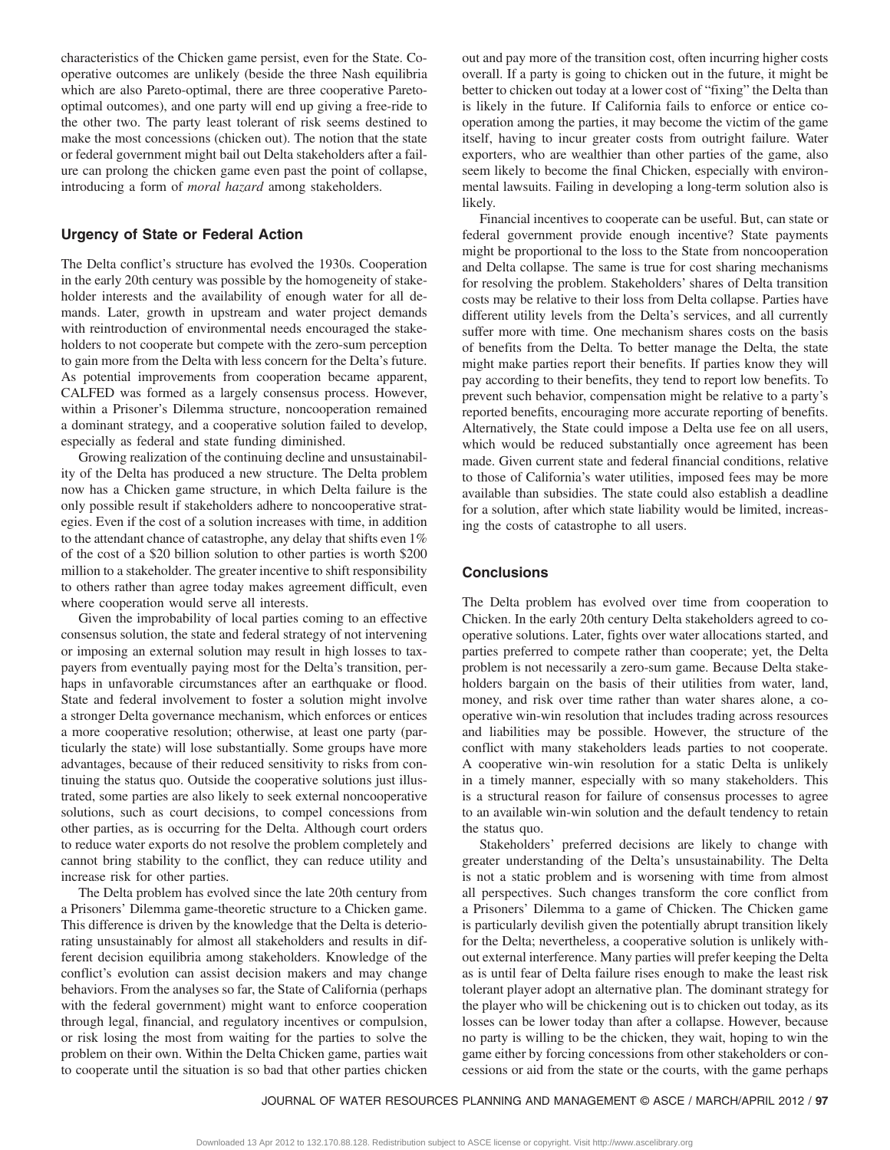characteristics of the Chicken game persist, even for the State. Cooperative outcomes are unlikely (beside the three Nash equilibria which are also Pareto-optimal, there are three cooperative Paretooptimal outcomes), and one party will end up giving a free-ride to the other two. The party least tolerant of risk seems destined to make the most concessions (chicken out). The notion that the state or federal government might bail out Delta stakeholders after a failure can prolong the chicken game even past the point of collapse, introducing a form of moral hazard among stakeholders.

## Urgency of State or Federal Action

The Delta conflict's structure has evolved the 1930s. Cooperation in the early 20th century was possible by the homogeneity of stakeholder interests and the availability of enough water for all demands. Later, growth in upstream and water project demands with reintroduction of environmental needs encouraged the stakeholders to not cooperate but compete with the zero-sum perception to gain more from the Delta with less concern for the Delta's future. As potential improvements from cooperation became apparent, CALFED was formed as a largely consensus process. However, within a Prisoner's Dilemma structure, noncooperation remained a dominant strategy, and a cooperative solution failed to develop, especially as federal and state funding diminished.

Growing realization of the continuing decline and unsustainability of the Delta has produced a new structure. The Delta problem now has a Chicken game structure, in which Delta failure is the only possible result if stakeholders adhere to noncooperative strategies. Even if the cost of a solution increases with time, in addition to the attendant chance of catastrophe, any delay that shifts even 1% of the cost of a \$20 billion solution to other parties is worth \$200 million to a stakeholder. The greater incentive to shift responsibility to others rather than agree today makes agreement difficult, even where cooperation would serve all interests.

Given the improbability of local parties coming to an effective consensus solution, the state and federal strategy of not intervening or imposing an external solution may result in high losses to taxpayers from eventually paying most for the Delta's transition, perhaps in unfavorable circumstances after an earthquake or flood. State and federal involvement to foster a solution might involve a stronger Delta governance mechanism, which enforces or entices a more cooperative resolution; otherwise, at least one party (particularly the state) will lose substantially. Some groups have more advantages, because of their reduced sensitivity to risks from continuing the status quo. Outside the cooperative solutions just illustrated, some parties are also likely to seek external noncooperative solutions, such as court decisions, to compel concessions from other parties, as is occurring for the Delta. Although court orders to reduce water exports do not resolve the problem completely and cannot bring stability to the conflict, they can reduce utility and increase risk for other parties.

The Delta problem has evolved since the late 20th century from a Prisoners' Dilemma game-theoretic structure to a Chicken game. This difference is driven by the knowledge that the Delta is deteriorating unsustainably for almost all stakeholders and results in different decision equilibria among stakeholders. Knowledge of the conflict's evolution can assist decision makers and may change behaviors. From the analyses so far, the State of California (perhaps with the federal government) might want to enforce cooperation through legal, financial, and regulatory incentives or compulsion, or risk losing the most from waiting for the parties to solve the problem on their own. Within the Delta Chicken game, parties wait to cooperate until the situation is so bad that other parties chicken

out and pay more of the transition cost, often incurring higher costs overall. If a party is going to chicken out in the future, it might be better to chicken out today at a lower cost of "fixing" the Delta than is likely in the future. If California fails to enforce or entice cooperation among the parties, it may become the victim of the game itself, having to incur greater costs from outright failure. Water exporters, who are wealthier than other parties of the game, also seem likely to become the final Chicken, especially with environmental lawsuits. Failing in developing a long-term solution also is likely.

Financial incentives to cooperate can be useful. But, can state or federal government provide enough incentive? State payments might be proportional to the loss to the State from noncooperation and Delta collapse. The same is true for cost sharing mechanisms for resolving the problem. Stakeholders' shares of Delta transition costs may be relative to their loss from Delta collapse. Parties have different utility levels from the Delta's services, and all currently suffer more with time. One mechanism shares costs on the basis of benefits from the Delta. To better manage the Delta, the state might make parties report their benefits. If parties know they will pay according to their benefits, they tend to report low benefits. To prevent such behavior, compensation might be relative to a party's reported benefits, encouraging more accurate reporting of benefits. Alternatively, the State could impose a Delta use fee on all users, which would be reduced substantially once agreement has been made. Given current state and federal financial conditions, relative to those of California's water utilities, imposed fees may be more available than subsidies. The state could also establish a deadline for a solution, after which state liability would be limited, increasing the costs of catastrophe to all users.

## **Conclusions**

The Delta problem has evolved over time from cooperation to Chicken. In the early 20th century Delta stakeholders agreed to cooperative solutions. Later, fights over water allocations started, and parties preferred to compete rather than cooperate; yet, the Delta problem is not necessarily a zero-sum game. Because Delta stakeholders bargain on the basis of their utilities from water, land, money, and risk over time rather than water shares alone, a cooperative win-win resolution that includes trading across resources and liabilities may be possible. However, the structure of the conflict with many stakeholders leads parties to not cooperate. A cooperative win-win resolution for a static Delta is unlikely in a timely manner, especially with so many stakeholders. This is a structural reason for failure of consensus processes to agree to an available win-win solution and the default tendency to retain the status quo.

Stakeholders' preferred decisions are likely to change with greater understanding of the Delta's unsustainability. The Delta is not a static problem and is worsening with time from almost all perspectives. Such changes transform the core conflict from a Prisoners' Dilemma to a game of Chicken. The Chicken game is particularly devilish given the potentially abrupt transition likely for the Delta; nevertheless, a cooperative solution is unlikely without external interference. Many parties will prefer keeping the Delta as is until fear of Delta failure rises enough to make the least risk tolerant player adopt an alternative plan. The dominant strategy for the player who will be chickening out is to chicken out today, as its losses can be lower today than after a collapse. However, because no party is willing to be the chicken, they wait, hoping to win the game either by forcing concessions from other stakeholders or concessions or aid from the state or the courts, with the game perhaps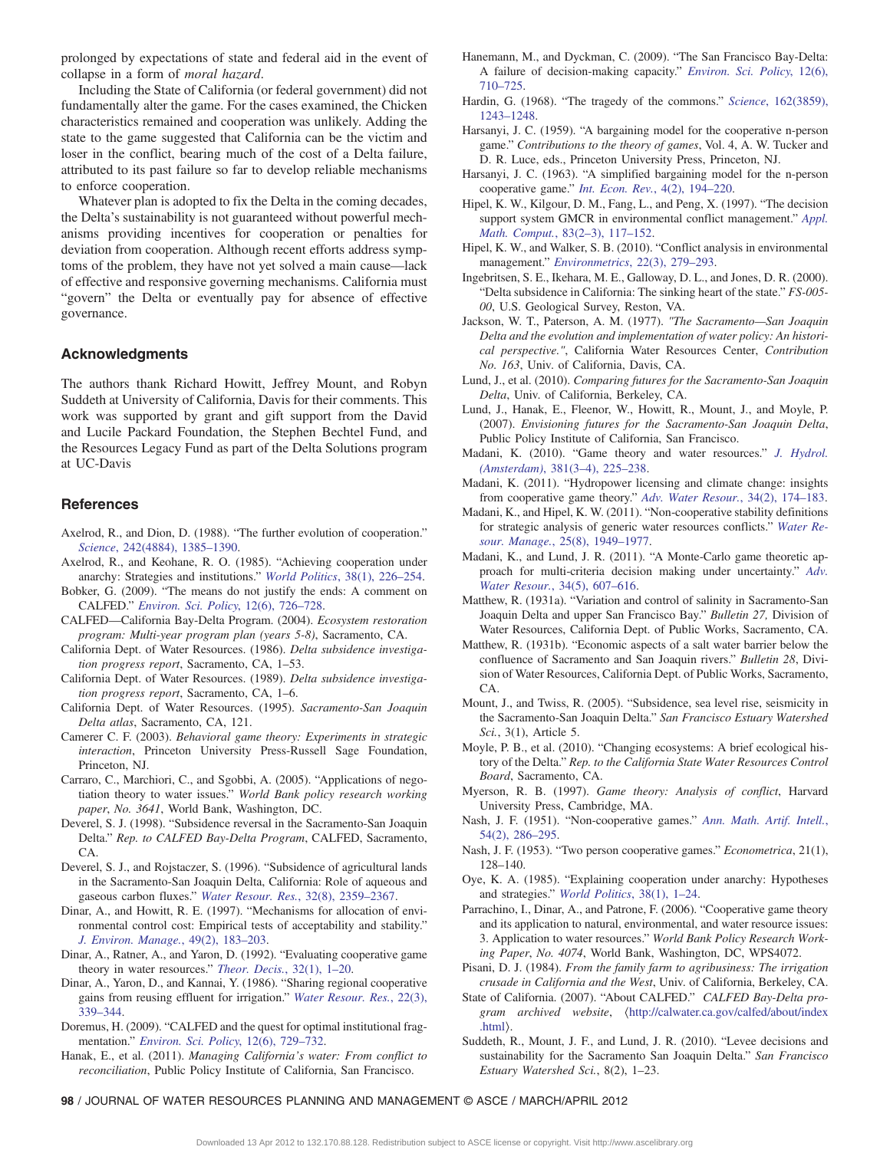prolonged by expectations of state and federal aid in the event of collapse in a form of moral hazard.

Including the State of California (or federal government) did not fundamentally alter the game. For the cases examined, the Chicken characteristics remained and cooperation was unlikely. Adding the state to the game suggested that California can be the victim and loser in the conflict, bearing much of the cost of a Delta failure, attributed to its past failure so far to develop reliable mechanisms to enforce cooperation.

Whatever plan is adopted to fix the Delta in the coming decades, the Delta's sustainability is not guaranteed without powerful mechanisms providing incentives for cooperation or penalties for deviation from cooperation. Although recent efforts address symptoms of the problem, they have not yet solved a main cause—lack of effective and responsive governing mechanisms. California must "govern" the Delta or eventually pay for absence of effective governance.

#### Acknowledgments

The authors thank Richard Howitt, Jeffrey Mount, and Robyn Suddeth at University of California, Davis for their comments. This work was supported by grant and gift support from the David and Lucile Packard Foundation, the Stephen Bechtel Fund, and the Resources Legacy Fund as part of the Delta Solutions program at UC-Davis

#### **References**

- <span id="page-8-41"></span>Axelrod, R., and Dion, D. (1988). "The further evolution of cooperation." Science[, 242\(4884\), 1385](http://dx.doi.org/10.1126/science.242.4884.1385)–1390.
- <span id="page-8-39"></span>Axelrod, R., and Keohane, R. O. (1985). "Achieving cooperation under anarchy: Strategies and institutions." [World Politics](http://dx.doi.org/10.2307/2010357), 38(1), 226–254.
- <span id="page-8-32"></span>Bobker, G. (2009). "The means do not justify the ends: A comment on CALFED." [Environ. Sci. Policy](http://dx.doi.org/10.1016/j.envsci.2009.06.002), 12(6), 726–728.
- <span id="page-8-12"></span>CALFED—California Bay-Delta Program. (2004). Ecosystem restoration program: Multi-year program plan (years 5-8), Sacramento, CA.
- <span id="page-8-6"></span>California Dept. of Water Resources. (1986). Delta subsidence investigation progress report, Sacramento, CA, 1–53.
- <span id="page-8-7"></span>California Dept. of Water Resources. (1989). Delta subsidence investigation progress report, Sacramento, CA, 1–6.
- <span id="page-8-8"></span>California Dept. of Water Resources. (1995). Sacramento-San Joaquin Delta atlas, Sacramento, CA, 121.
- <span id="page-8-16"></span>Camerer C. F. (2003). Behavioral game theory: Experiments in strategic interaction, Princeton University Press-Russell Sage Foundation, Princeton, NJ.
- <span id="page-8-23"></span>Carraro, C., Marchiori, C., and Sgobbi, A. (2005). "Applications of negotiation theory to water issues." World Bank policy research working paper, No. 3641, World Bank, Washington, DC.
- <span id="page-8-10"></span>Deverel, S. J. (1998). "Subsidence reversal in the Sacramento-San Joaquin Delta." Rep. to CALFED Bay-Delta Program, CALFED, Sacramento, CA.
- <span id="page-8-9"></span>Deverel, S. J., and Rojstaczer, S. (1996). "Subsidence of agricultural lands in the Sacramento-San Joaquin Delta, California: Role of aqueous and gaseous carbon fluxes." [Water Resour. Res.](http://dx.doi.org/10.1029/96WR01338), 32(8), 2359–2367.
- <span id="page-8-21"></span>Dinar, A., and Howitt, R. E. (1997). "Mechanisms for allocation of environmental control cost: Empirical tests of acceptability and stability." [J. Environ. Manage.](http://dx.doi.org/10.1006/jema.1995.0088), 49(2), 183–203.
- <span id="page-8-20"></span>Dinar, A., Ratner, A., and Yaron, D. (1992). "Evaluating cooperative game theory in water resources." [Theor. Decis.](http://dx.doi.org/10.1007/BF00133625), 32(1), 1-20.
- <span id="page-8-19"></span>Dinar, A., Yaron, D., and Kannai, Y. (1986). "Sharing regional cooperative gains from reusing effluent for irrigation." [Water Resour. Res.](http://dx.doi.org/10.1029/WR022i003p00339), 22(3), 339–[344.](http://dx.doi.org/10.1029/WR022i003p00339)
- <span id="page-8-33"></span>Doremus, H. (2009). "CALFED and the quest for optimal institutional fragmentation." [Environ. Sci. Policy](http://dx.doi.org/10.1016/j.envsci.2009.06.004), 12(6), 729–732.
- <span id="page-8-4"></span>Hanak, E., et al. (2011). Managing California's water: From conflict to reconciliation, Public Policy Institute of California, San Francisco.
- <span id="page-8-14"></span>Hanemann, M., and Dyckman, C. (2009). "The San Francisco Bay-Delta: A failure of decision-making capacity." [Environ. Sci. Policy](http://dx.doi.org/10.1016/j.envsci.2009.07.004), 12(6), 710–[725.](http://dx.doi.org/10.1016/j.envsci.2009.07.004)
- <span id="page-8-37"></span>Hardin, G. (1968). "The tragedy of the commons." Science[, 162\(3859\),](http://dx.doi.org/10.1126/science.162.3859.1243) [1243](http://dx.doi.org/10.1126/science.162.3859.1243)–1248.
- <span id="page-8-34"></span>Harsanyi, J. C. (1959). "A bargaining model for the cooperative n-person game." Contributions to the theory of games, Vol. 4, A. W. Tucker and D. R. Luce, eds., Princeton University Press, Princeton, NJ.
- <span id="page-8-35"></span>Harsanyi, J. C. (1963). "A simplified bargaining model for the n-person cooperative game." [Int. Econ. Rev.](http://dx.doi.org/10.2307/2525487), 4(2), 194–220.
- <span id="page-8-22"></span>Hipel, K. W., Kilgour, D. M., Fang, L., and Peng, X. (1997). "The decision support system GMCR in environmental conflict management." [Appl.](http://dx.doi.org/10.1016/S0096-3003(96)00170-1) [Math. Comput.](http://dx.doi.org/10.1016/S0096-3003(96)00170-1), 83(2–3), 117–152.
- <span id="page-8-26"></span>Hipel, K. W., and Walker, S. B. (2010). "Conflict analysis in environmental management." [Environmetrics](http://dx.doi.org/10.1002/env.1048), 22(3), 279-293.
- <span id="page-8-11"></span>Ingebritsen, S. E., Ikehara, M. E., Galloway, D. L., and Jones, D. R. (2000). "Delta subsidence in California: The sinking heart of the state." FS-005- 00, U.S. Geological Survey, Reston, VA.
- <span id="page-8-27"></span>Jackson, W. T., Paterson, A. M. (1977). "The Sacramento—San Joaquin Delta and the evolution and implementation of water policy: An historical perspective.", California Water Resources Center, Contribution No. 163, Univ. of California, Davis, CA.
- <span id="page-8-2"></span>Lund, J., et al. (2010). Comparing futures for the Sacramento-San Joaquin Delta, Univ. of California, Berkeley, CA.
- <span id="page-8-1"></span>Lund, J., Hanak, E., Fleenor, W., Howitt, R., Mount, J., and Moyle, P. (2007). Envisioning futures for the Sacramento-San Joaquin Delta, Public Policy Institute of California, San Francisco.
- <span id="page-8-17"></span>Madani, K. (2010). "Game theory and water resources." [J. Hydrol.](http://dx.doi.org/10.1016/j.jhydrol.2009.11.045) [\(Amsterdam\)](http://dx.doi.org/10.1016/j.jhydrol.2009.11.045), 381(3–4), 225–238.
- <span id="page-8-25"></span>Madani, K. (2011). "Hydropower licensing and climate change: insights from cooperative game theory." [Adv. Water Resour.](http://dx.doi.org/10.1016/j.advwatres.2010.10.003), 34(2), 174–183.
- <span id="page-8-18"></span>Madani, K., and Hipel, K. W. (2011). "Non-cooperative stability definitions for strategic analysis of generic water resources conflicts." [Water Re](http://dx.doi.org/10.1007/s11269-011-9783-4)[sour. Manage.](http://dx.doi.org/10.1007/s11269-011-9783-4), 25(8), 1949–1977.
- <span id="page-8-5"></span>Madani, K., and Lund, J. R. (2011). "A Monte-Carlo game theoretic approach for multi-criteria decision making under uncertainty." [Adv.](http://dx.doi.org/10.1016/j.advwatres.2011.02.009) [Water Resour.](http://dx.doi.org/10.1016/j.advwatres.2011.02.009), 34(5), 607–616.
- <span id="page-8-29"></span>Matthew, R. (1931a). "Variation and control of salinity in Sacramento-San Joaquin Delta and upper San Francisco Bay." Bulletin 27, Division of Water Resources, California Dept. of Public Works, Sacramento, CA.
- <span id="page-8-30"></span>Matthew, R. (1931b). "Economic aspects of a salt water barrier below the confluence of Sacramento and San Joaquin rivers." Bulletin 28, Division of Water Resources, California Dept. of Public Works, Sacramento, CA.
- <span id="page-8-13"></span>Mount, J., and Twiss, R. (2005). "Subsidence, sea level rise, seismicity in the Sacramento-San Joaquin Delta." San Francisco Estuary Watershed Sci., 3(1), Article 5.
- <span id="page-8-28"></span>Moyle, P. B., et al. (2010). "Changing ecosystems: A brief ecological history of the Delta." Rep. to the California State Water Resources Control Board, Sacramento, CA.
- <span id="page-8-15"></span>Myerson, R. B. (1997). Game theory: Analysis of conflict, Harvard University Press, Cambridge, MA.
- <span id="page-8-38"></span><span id="page-8-36"></span>Nash, J. F. (1951). "Non-cooperative games." [Ann. Math. Artif. Intell.](http://dx.doi.org/10.2307/1969529), [54\(2\), 286](http://dx.doi.org/10.2307/1969529)–295.
- <span id="page-8-40"></span>Nash, J. F. (1953). "Two person cooperative games." Econometrica, 21(1), 128–140.
- <span id="page-8-24"></span>Oye, K. A. (1985). "Explaining cooperation under anarchy: Hypotheses and strategies." [World Politics](http://dx.doi.org/10.2307/2010349), 38(1), 1–24.
- Parrachino, I., Dinar, A., and Patrone, F. (2006). "Cooperative game theory and its application to natural, environmental, and water resource issues: 3. Application to water resources." World Bank Policy Research Working Paper, No. 4074, World Bank, Washington, DC, WPS4072.
- <span id="page-8-31"></span><span id="page-8-0"></span>Pisani, D. J. (1984). From the family farm to agribusiness: The irrigation crusade in California and the West, Univ. of California, Berkeley, CA.
- State of California. (2007). "About CALFED." CALFED Bay-Delta program archived website, 〈[http://calwater.ca.gov/calfed/about/index](http://calwater.ca.gov/calfed/about/index.html) [.html](http://calwater.ca.gov/calfed/about/index.html)〉.
- <span id="page-8-3"></span>Suddeth, R., Mount, J. F., and Lund, J. R. (2010). "Levee decisions and sustainability for the Sacramento San Joaquin Delta." San Francisco Estuary Watershed Sci., 8(2), 1–23.